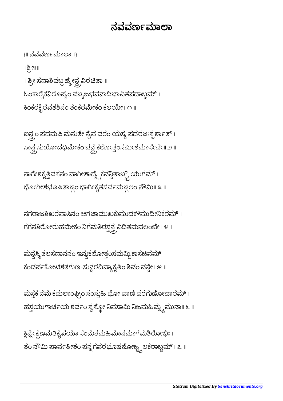## ನವರ್ವಾಮಾಲಾ

{॥ ನವವಣಾಾ ॥} ॥ೕಃ॥ ॥ ಶ್ರೀ ಸದಾಶಿವಬ್ರಹ್ಮೇನ್ಧ ವಿರಚಿತಾ ॥ ಓಂಕಾರೈಕನಿರೂಪ್ಯಂ ಪಙ್ಕಜಭವನಾದಿಭಾವಿತಪದಾಬ್ಜಮ್ । ಕಿಂಕರಕ್ಷಿರವಶಶಿನಂ ಶಂಕರಮೇಕಂ ಕಲಯೇ । ೧ ॥

ಐನ್ದ್ರಂ ಪದಮಪಿ ಮನುತೇ ನೈವ ವರಂ ಯಸ್ಯ ಪದರಜಃಸ್ಪರ್ಶಾತ್ । ಸಾನ್ದ ಸುಖೋದಧಿಮೇಕಂ ಚನ್ದ ಕಲೋತ್ತಂಸಮೀಶಮಾಸೇವೇ॥ ೨ ॥

ನಾಗೇಶಕೃತ್ತಿವಸನಂ ವಾಗೀಶಾದ್ಯೈಕವನ್ದಿತಾಙ್ಬ್ರಿಯುಗಮ್ । ಭೋಗೀಶಭೂಷಿತಾಙ್ದಂ ಭಾಗೀಕೃತಸರ್ವಮಙ್ದಲಂ ನೌಮಿ॥ ೩ ॥

ನಗರಾಜಶಿಖರವಾಸಿನಂ ಅಗಜಾಮುಖಕುಮುದಕೌಮುದೀನಿಕರಮ್ । ಗಗನಶಿರೋರುಹಮೇಕಂ ನಿಗಮಶಿರಸ್ತನ್ತ್ರವಿದಿತಮವಲಂಬೇ॥ ೪ ॥

ಮನ್ದಸ್ಮಿ ತಲಸದಾನನಂ ಇನ್ನುಕಲೋತ್ತಂಸಮಮ್ನಿ ಕಾಸಚಿವಮ್ । ಕಂದರ್ಪಕೋಟಿಶತಗುಣ-ಸುನ್ದರದಿವ್ಯಾಕೃತಿಂ ಶಿವಂ ವನ್ದೇ॥ ೫ ॥

ಮಸ್ತಕ ನಮ ಕಮಲಾಂಘ್ರಿಂ ಸಂಸ್ತುಹಿ ಭೋ ವಾಣಿ ವರಗುಣೋದಾರಮ್ । ಹಸ್ತಯುಗಾರ್ಚಯ ಶರ್ವಂ ಸ್ವಸ್ಥೋ ನಿವಸಾಮಿ ನಿಜಮಹಿಮ್ನ್ಯಮುನಾ॥ ೬ ॥

ಕ್ಲಿನ್ನೇಕ್ಷಣಮತಿಕೃಪಯಾ ಸಂನುತಮಹಿಮಾನಮಾಗಮಶಿರೋಭಿಃ । ತಂ ನೌಮಿ ಪಾರ್ವತೀಶಂ ಪನ್ನಗವರಭೂಷಣೋಜ್ಞ್ನಲಕರಾಬ್ಜಮ್॥ ೭ ॥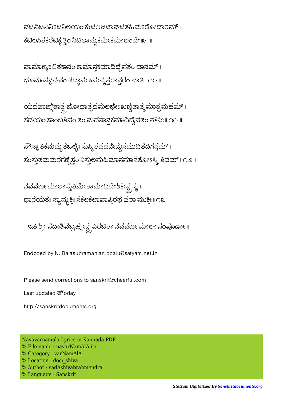ವಟವಿಟಪಿನಿಕಟನಿಲಯಂ ಕುಟಿಲಜಟಾಘಟಿತಹಿಮಕರೋದಾರಮ್। ಕಟಿಲಸಿತಕರಟಿಕೃತ್ತಿಂ ನಿಟಿಲಾಮ್ಸಕಮೇಕಮಾಲಂಬೇ ॥೯ ॥

ವಾಮಾಙ್ಕಕಲಿತಕಾನ್ಗಂ ಕಾಮಾನ್ಗಕಮಾದಿದೈವತಂ ದಾನ್ಗಮ್ । ಭೂಮಾನನ್ದಘನಂ ತದ್ದಾಮ ಕಿಮಪ್ಯನ್ತರಾನ್ತರಂ ಭಾತಿ॥ ೧೦ ॥

ಯದಪಾಙ್ಗಿತಾತ್ಪ್ರಬೋಧಾತ್ಪದಮಲಭೇಽಖಣ್ಣಿತಾತ್ಮ ಮಾತ್ರಮಹಮ್ । ಸದಯಂ ಸಾಂಬಶಿವಂ ತಂ ಮದನಾನ್ಗಕಮಾದಿದೈವತಂ ನೌಮಿ ॥ ೧೧ ॥

ಸೌಸ್ವಾತಿಕಮಮೃತಜಲೈಃ ಸುಸ್ಮಿ ತವದನೇನ್ದುಸಮುದಿತದಿಗನ್ಗಮ್ । ಸಂಸ್ಥುತಮಮರಗಣೈಸ್ಗಂ ನಿಸ್ತುಲಮಹಿಮಾನಮಾನತೋಽಸ್ಮಿ ಶಿವಮ್॥ ೧೨ ॥

ನವರ್ವೂಮಾಲಾಸ್ತುತಿಮೇತಾಮಾದಿದೇಶಿಕೇನ್ದ ಸ್ಯ । ಾರಯತಃ ಾದುಃ ಸಕಲಕಾಾರಥ ಪಾ ಮುಃ॥ ೧೩ ॥

॥ ಇತಿ ಶ್ರೀ ಸದಾಶಿವಬ್ರಹ್ಮೇನ್ದ ವಿರಚಿತಾ ನವವರ್ಣಮಾಲಾ ಸಂಪೂರ್ಣಾ॥

Endoded by N. Balasubramanian bbalu@satyam.net.in

Please send corrections to sanskrit@cheerful.com

Last updated  $\overline{3}^6$ odav

http://sanskritdocuments.org

Navavarnamala Lyrics in Kannada PDF % File name : navarNamAlA.itx % Category : varNamAlA % Location : doc\ shiva % Author : sadAshivabrahmendra % Language : Sanskrit